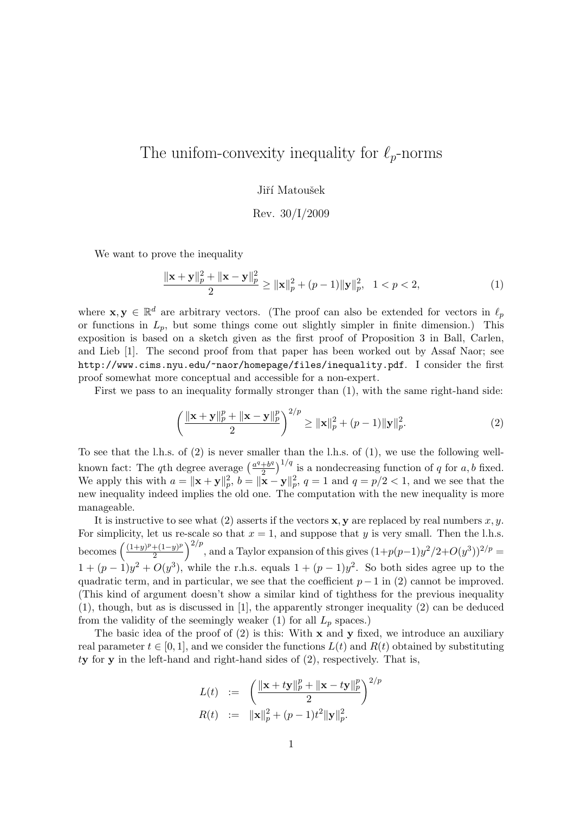## The unifom-convexity inequality for  $\ell_p$ -norms

Jiří Matoušek

Rev. 30/I/2009

We want to prove the inequality

$$
\frac{\|\mathbf{x} + \mathbf{y}\|_p^2 + \|\mathbf{x} - \mathbf{y}\|_p^2}{2} \ge \|\mathbf{x}\|_p^2 + (p-1)\|\mathbf{y}\|_p^2, \quad 1 < p < 2,\tag{1}
$$

where  $\mathbf{x}, \mathbf{y} \in \mathbb{R}^d$  are arbitrary vectors. (The proof can also be extended for vectors in  $\ell_p$ or functions in  $L_p$ , but some things come out slightly simpler in finite dimension.) This exposition is based on a sketch given as the first proof of Proposition 3 in Ball, Carlen, and Lieb [1]. The second proof from that paper has been worked out by Assaf Naor; see http://www.cims.nyu.edu/~naor/homepage/files/inequality.pdf. I consider the first proof somewhat more conceptual and accessible for a non-expert.

First we pass to an inequality formally stronger than (1), with the same right-hand side:

$$
\left(\frac{\|\mathbf{x} + \mathbf{y}\|_{p}^{p} + \|\mathbf{x} - \mathbf{y}\|_{p}^{p}}{2}\right)^{2/p} \ge \|\mathbf{x}\|_{p}^{2} + (p-1)\|\mathbf{y}\|_{p}^{2}.
$$
 (2)

To see that the l.h.s. of (2) is never smaller than the l.h.s. of (1), we use the following wellknown fact: The q<sup>th</sup> degree average  $\left(\frac{a^q+b^q}{2}\right)$  $\left(\frac{1}{2}b^q\right)^{1/q}$  is a nondecreasing function of q for a, b fixed. We apply this with  $a = \|\mathbf{x} + \mathbf{y}\|_p^2$ ,  $b = \|\mathbf{x} - \mathbf{y}\|_p^2$ ,  $q = 1$  and  $q = p/2 < 1$ , and we see that the new inequality indeed implies the old one. The computation with the new inequality is more manageable.

It is instructive to see what (2) asserts if the vectors  $x, y$  are replaced by real numbers x, y. For simplicity, let us re-scale so that  $x = 1$ , and suppose that y is very small. Then the l.h.s. becomes  $\left(\frac{(1+y)^p+(1-y)^p}{2}\right)$  $\left(\frac{2^{(1-y)^p}}{2}\right)^{2/p}$ , and a Taylor expansion of this gives  $(1+p(p-1)y^2/2+O(y^3))^{2/p}$  $1 + (p-1)y^2 + O(y^3)$ , while the r.h.s. equals  $1 + (p-1)y^2$ . So both sides agree up to the quadratic term, and in particular, we see that the coefficient  $p-1$  in (2) cannot be improved. (This kind of argument doesn't show a similar kind of tighthess for the previous inequality (1), though, but as is discussed in [1], the apparently stronger inequality (2) can be deduced from the validity of the seemingly weaker (1) for all  $L_p$  spaces.)

The basic idea of the proof of  $(2)$  is this: With x and y fixed, we introduce an auxiliary real parameter  $t \in [0,1]$ , and we consider the functions  $L(t)$  and  $R(t)$  obtained by substituting  $ty$  for  $y$  in the left-hand and right-hand sides of  $(2)$ , respectively. That is,

$$
L(t) := \left( \frac{\|\mathbf{x} + t\mathbf{y}\|_p^p + \|\mathbf{x} - t\mathbf{y}\|_p^p}{2} \right)^{2/p}
$$
  

$$
R(t) := \|\mathbf{x}\|_p^2 + (p-1)t^2 \|\mathbf{y}\|_p^2.
$$